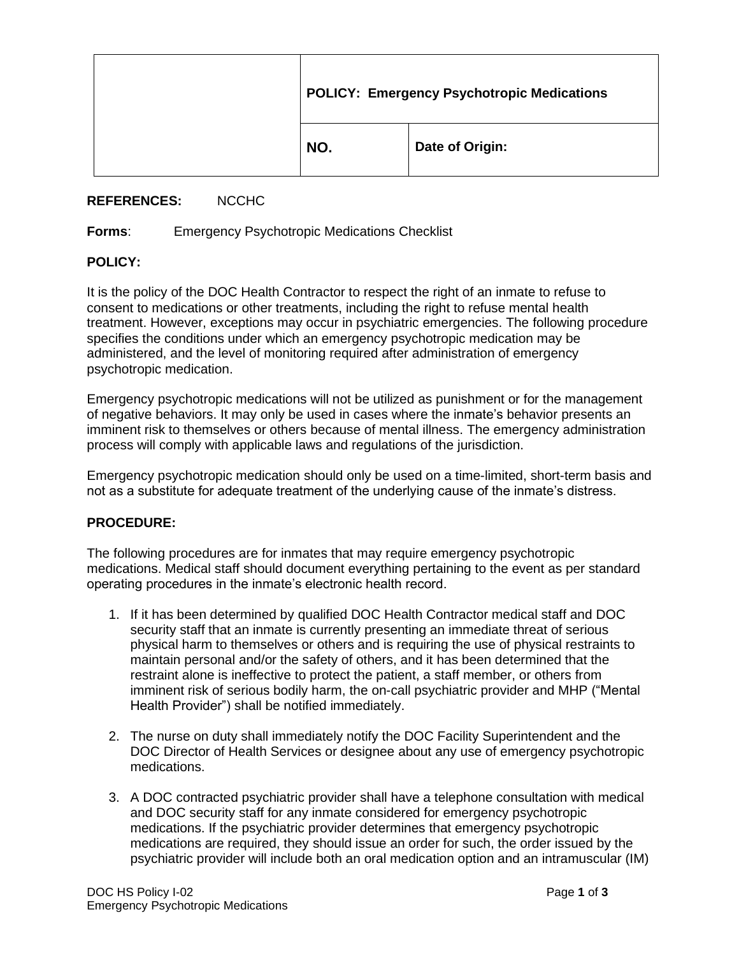| <b>POLICY: Emergency Psychotropic Medications</b> |                 |
|---------------------------------------------------|-----------------|
| NO.                                               | Date of Origin: |

## **REFERENCES:** NCCHC

## **Forms**: Emergency Psychotropic Medications Checklist

## **POLICY:**

It is the policy of the DOC Health Contractor to respect the right of an inmate to refuse to consent to medications or other treatments, including the right to refuse mental health treatment. However, exceptions may occur in psychiatric emergencies. The following procedure specifies the conditions under which an emergency psychotropic medication may be administered, and the level of monitoring required after administration of emergency psychotropic medication.

Emergency psychotropic medications will not be utilized as punishment or for the management of negative behaviors. It may only be used in cases where the inmate's behavior presents an imminent risk to themselves or others because of mental illness. The emergency administration process will comply with applicable laws and regulations of the jurisdiction.

Emergency psychotropic medication should only be used on a time-limited, short-term basis and not as a substitute for adequate treatment of the underlying cause of the inmate's distress.

## **PROCEDURE:**

The following procedures are for inmates that may require emergency psychotropic medications. Medical staff should document everything pertaining to the event as per standard operating procedures in the inmate's electronic health record.

- 1. If it has been determined by qualified DOC Health Contractor medical staff and DOC security staff that an inmate is currently presenting an immediate threat of serious physical harm to themselves or others and is requiring the use of physical restraints to maintain personal and/or the safety of others, and it has been determined that the restraint alone is ineffective to protect the patient, a staff member, or others from imminent risk of serious bodily harm, the on-call psychiatric provider and MHP ("Mental Health Provider") shall be notified immediately.
- 2. The nurse on duty shall immediately notify the DOC Facility Superintendent and the DOC Director of Health Services or designee about any use of emergency psychotropic medications.
- 3. A DOC contracted psychiatric provider shall have a telephone consultation with medical and DOC security staff for any inmate considered for emergency psychotropic medications. If the psychiatric provider determines that emergency psychotropic medications are required, they should issue an order for such, the order issued by the psychiatric provider will include both an oral medication option and an intramuscular (IM)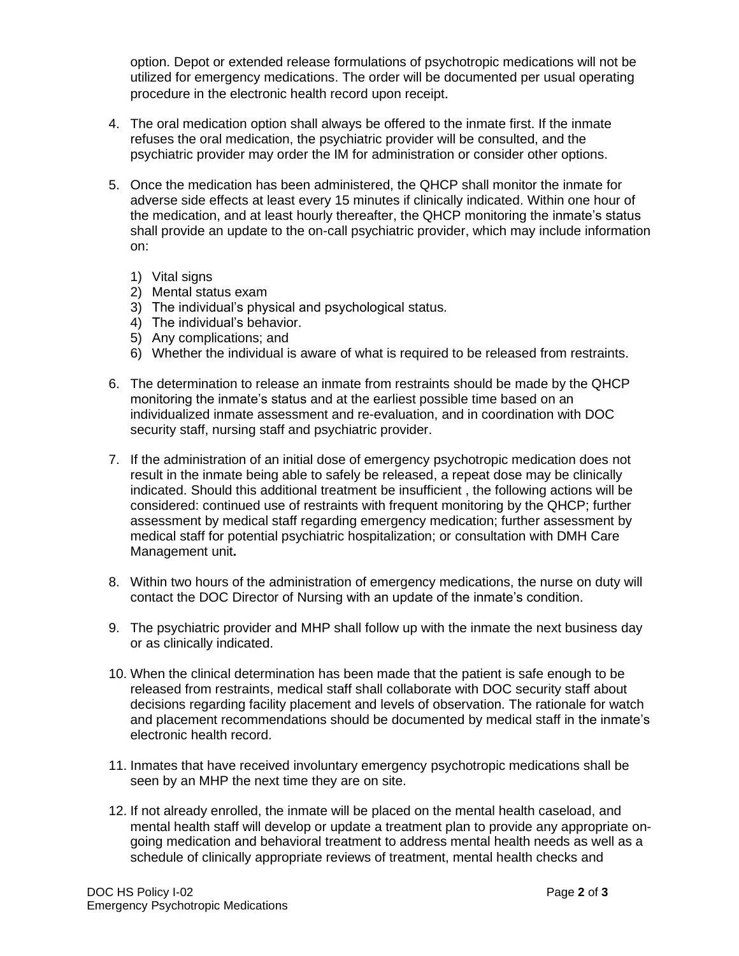option. Depot or extended release formulations of psychotropic medications will not be utilized for emergency medications. The order will be documented per usual operating procedure in the electronic health record upon receipt.

- 4. The oral medication option shall always be offered to the inmate first. If the inmate refuses the oral medication, the psychiatric provider will be consulted, and the psychiatric provider may order the IM for administration or consider other options.
- 5. Once the medication has been administered, the QHCP shall monitor the inmate for adverse side effects at least every 15 minutes if clinically indicated. Within one hour of the medication, and at least hourly thereafter, the QHCP monitoring the inmate's status shall provide an update to the on-call psychiatric provider, which may include information on:
	- 1) Vital signs
	- 2) Mental status exam
	- 3) The individual's physical and psychological status.
	- 4) The individual's behavior.
	- 5) Any complications; and
	- 6) Whether the individual is aware of what is required to be released from restraints.
- 6. The determination to release an inmate from restraints should be made by the QHCP monitoring the inmate's status and at the earliest possible time based on an individualized inmate assessment and re-evaluation, and in coordination with DOC security staff, nursing staff and psychiatric provider.
- 7. If the administration of an initial dose of emergency psychotropic medication does not result in the inmate being able to safely be released, a repeat dose may be clinically indicated. Should this additional treatment be insufficient , the following actions will be considered: continued use of restraints with frequent monitoring by the QHCP; further assessment by medical staff regarding emergency medication; further assessment by medical staff for potential psychiatric hospitalization; or consultation with DMH Care Management unit**.**
- 8. Within two hours of the administration of emergency medications, the nurse on duty will contact the DOC Director of Nursing with an update of the inmate's condition.
- 9. The psychiatric provider and MHP shall follow up with the inmate the next business day or as clinically indicated.
- 10. When the clinical determination has been made that the patient is safe enough to be released from restraints, medical staff shall collaborate with DOC security staff about decisions regarding facility placement and levels of observation. The rationale for watch and placement recommendations should be documented by medical staff in the inmate's electronic health record.
- 11. Inmates that have received involuntary emergency psychotropic medications shall be seen by an MHP the next time they are on site.
- 12. If not already enrolled, the inmate will be placed on the mental health caseload, and mental health staff will develop or update a treatment plan to provide any appropriate ongoing medication and behavioral treatment to address mental health needs as well as a schedule of clinically appropriate reviews of treatment, mental health checks and